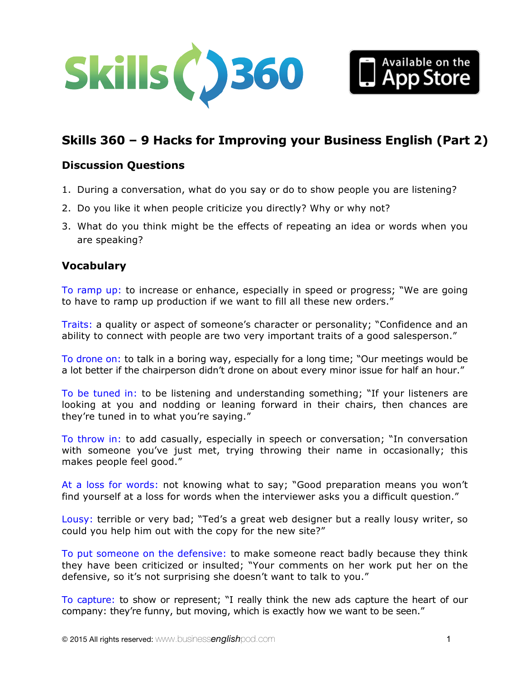



# **Skills 360 – 9 Hacks for Improving your Business English (Part 2)**

### **Discussion Questions**

- 1. During a conversation, what do you say or do to show people you are listening?
- 2. Do you like it when people criticize you directly? Why or why not?
- 3. What do you think might be the effects of repeating an idea or words when you are speaking?

### **Vocabulary**

To ramp up: to increase or enhance, especially in speed or progress; "We are going to have to ramp up production if we want to fill all these new orders."

Traits: a quality or aspect of someone's character or personality; "Confidence and an ability to connect with people are two very important traits of a good salesperson."

To drone on: to talk in a boring way, especially for a long time; "Our meetings would be a lot better if the chairperson didn't drone on about every minor issue for half an hour."

To be tuned in: to be listening and understanding something; "If your listeners are looking at you and nodding or leaning forward in their chairs, then chances are they're tuned in to what you're saying."

To throw in: to add casually, especially in speech or conversation; "In conversation with someone you've just met, trying throwing their name in occasionally; this makes people feel good."

At a loss for words: not knowing what to say; "Good preparation means you won't find yourself at a loss for words when the interviewer asks you a difficult question."

Lousy: terrible or very bad; "Ted's a great web designer but a really lousy writer, so could you help him out with the copy for the new site?"

To put someone on the defensive: to make someone react badly because they think they have been criticized or insulted; "Your comments on her work put her on the defensive, so it's not surprising she doesn't want to talk to you."

To capture: to show or represent; "I really think the new ads capture the heart of our company: they're funny, but moving, which is exactly how we want to be seen."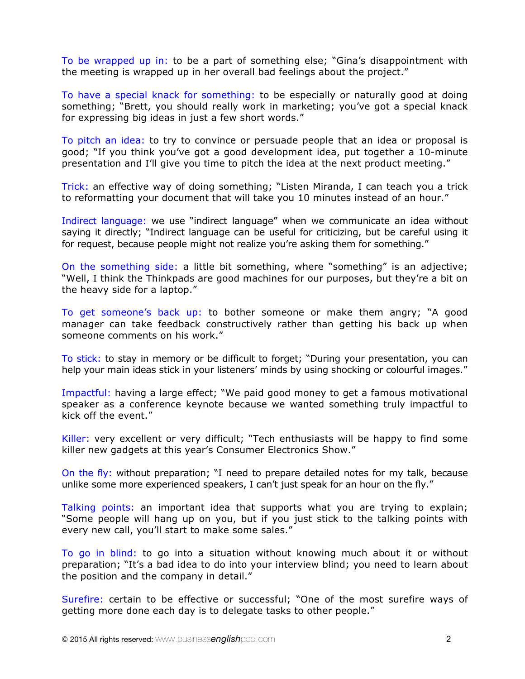To be wrapped up in: to be a part of something else; "Gina's disappointment with the meeting is wrapped up in her overall bad feelings about the project."

To have a special knack for something: to be especially or naturally good at doing something; "Brett, you should really work in marketing; you've got a special knack for expressing big ideas in just a few short words."

To pitch an idea: to try to convince or persuade people that an idea or proposal is good; "If you think you've got a good development idea, put together a 10-minute presentation and I'll give you time to pitch the idea at the next product meeting."

Trick: an effective way of doing something; "Listen Miranda, I can teach you a trick to reformatting your document that will take you 10 minutes instead of an hour."

Indirect language: we use "indirect language" when we communicate an idea without saying it directly; "Indirect language can be useful for criticizing, but be careful using it for request, because people might not realize you're asking them for something."

On the something side: a little bit something, where "something" is an adjective; "Well, I think the Thinkpads are good machines for our purposes, but they're a bit on the heavy side for a laptop."

To get someone's back up: to bother someone or make them angry; "A good manager can take feedback constructively rather than getting his back up when someone comments on his work."

To stick: to stay in memory or be difficult to forget; "During your presentation, you can help your main ideas stick in your listeners' minds by using shocking or colourful images."

Impactful: having a large effect; "We paid good money to get a famous motivational speaker as a conference keynote because we wanted something truly impactful to kick off the event."

Killer: very excellent or very difficult; "Tech enthusiasts will be happy to find some killer new gadgets at this year's Consumer Electronics Show."

On the fly: without preparation; "I need to prepare detailed notes for my talk, because unlike some more experienced speakers, I can't just speak for an hour on the fly."

Talking points: an important idea that supports what you are trying to explain; "Some people will hang up on you, but if you just stick to the talking points with every new call, you'll start to make some sales."

To go in blind: to go into a situation without knowing much about it or without preparation; "It's a bad idea to do into your interview blind; you need to learn about the position and the company in detail."

Surefire: certain to be effective or successful; "One of the most surefire ways of getting more done each day is to delegate tasks to other people."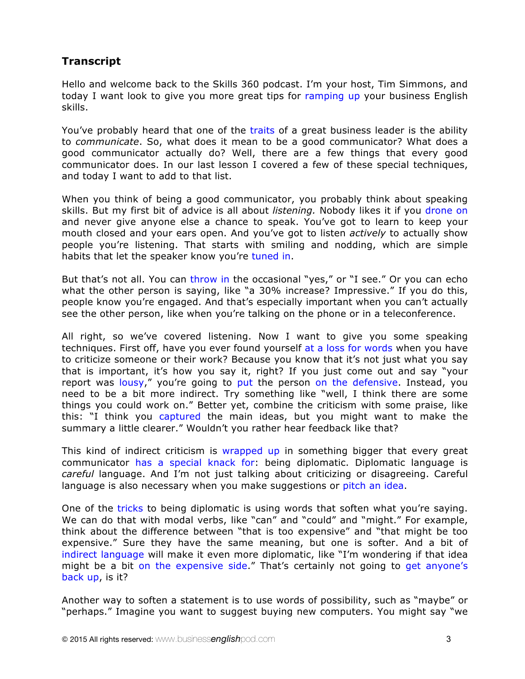## **Transcript**

Hello and welcome back to the Skills 360 podcast. I'm your host, Tim Simmons, and today I want look to give you more great tips for ramping up your business English skills.

You've probably heard that one of the traits of a great business leader is the ability to *communicate*. So, what does it mean to be a good communicator? What does a good communicator actually do? Well, there are a few things that every good communicator does. In our last lesson I covered a few of these special techniques, and today I want to add to that list.

When you think of being a good communicator, you probably think about speaking skills. But my first bit of advice is all about *listening.* Nobody likes it if you drone on and never give anyone else a chance to speak. You've got to learn to keep your mouth closed and your ears open. And you've got to listen *actively* to actually show people you're listening. That starts with smiling and nodding, which are simple habits that let the speaker know you're tuned in.

But that's not all. You can throw in the occasional "yes," or "I see." Or you can echo what the other person is saying, like "a 30% increase? Impressive." If you do this, people know you're engaged. And that's especially important when you can't actually see the other person, like when you're talking on the phone or in a teleconference.

All right, so we've covered listening. Now I want to give you some speaking techniques. First off, have you ever found yourself at a loss for words when you have to criticize someone or their work? Because you know that it's not just what you say that is important, it's how you say it, right? If you just come out and say "your report was lousy," you're going to put the person on the defensive. Instead, you need to be a bit more indirect. Try something like "well, I think there are some things you could work on." Better yet, combine the criticism with some praise, like this: "I think you captured the main ideas, but you might want to make the summary a little clearer." Wouldn't you rather hear feedback like that?

This kind of indirect criticism is wrapped up in something bigger that every great communicator has a special knack for: being diplomatic. Diplomatic language is *careful* language. And I'm not just talking about criticizing or disagreeing. Careful language is also necessary when you make suggestions or pitch an idea.

One of the tricks to being diplomatic is using words that soften what you're saying. We can do that with modal verbs, like "can" and "could" and "might." For example, think about the difference between "that is too expensive" and "that might be too expensive." Sure they have the same meaning, but one is softer. And a bit of indirect language will make it even more diplomatic, like "I'm wondering if that idea might be a bit on the expensive side." That's certainly not going to get anyone's back up, is it?

Another way to soften a statement is to use words of possibility, such as "maybe" or "perhaps." Imagine you want to suggest buying new computers. You might say "we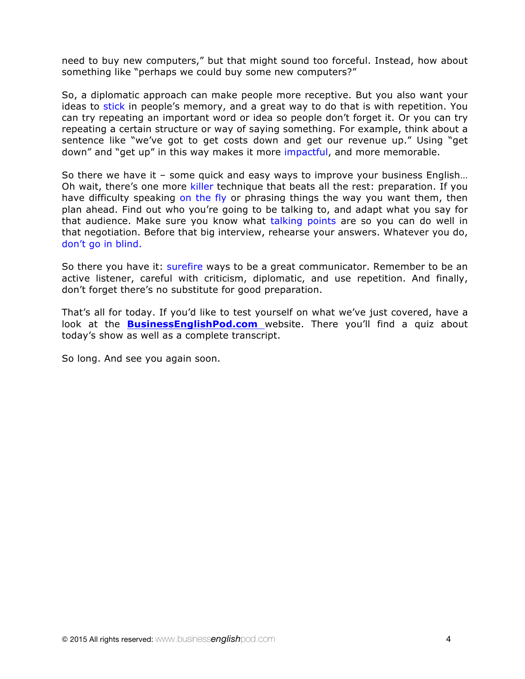need to buy new computers," but that might sound too forceful. Instead, how about something like "perhaps we could buy some new computers?"

So, a diplomatic approach can make people more receptive. But you also want your ideas to stick in people's memory, and a great way to do that is with repetition. You can try repeating an important word or idea so people don't forget it. Or you can try repeating a certain structure or way of saying something. For example, think about a sentence like "we've got to get costs down and get our revenue up." Using "get down" and "get up" in this way makes it more impactful, and more memorable.

So there we have it – some quick and easy ways to improve your business English… Oh wait, there's one more killer technique that beats all the rest: preparation. If you have difficulty speaking on the fly or phrasing things the way you want them, then plan ahead. Find out who you're going to be talking to, and adapt what you say for that audience. Make sure you know what talking points are so you can do well in that negotiation. Before that big interview, rehearse your answers. Whatever you do, don't go in blind.

So there you have it: surefire ways to be a great communicator. Remember to be an active listener, careful with criticism, diplomatic, and use repetition. And finally, don't forget there's no substitute for good preparation.

That's all for today. If you'd like to test yourself on what we've just covered, have a look at the **BusinessEnglishPod.com** website. There you'll find a quiz about today's show as well as a complete transcript.

So long. And see you again soon.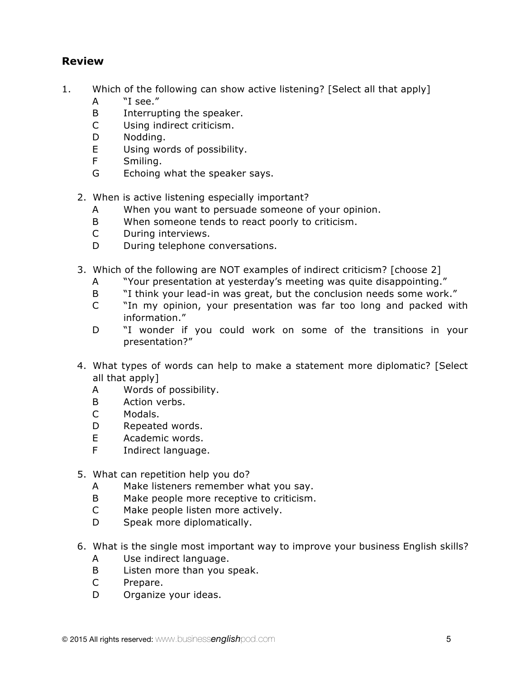## **Review**

- 1. Which of the following can show active listening? [Select all that apply]
	- A "I see."
	- B Interrupting the speaker.
	- C Using indirect criticism.
	- D Nodding.
	- E Using words of possibility.
	- F Smiling.
	- G Echoing what the speaker says.
	- 2. When is active listening especially important?
		- A When you want to persuade someone of your opinion.
		- B When someone tends to react poorly to criticism.
		- C During interviews.
		- D During telephone conversations.
	- 3. Which of the following are NOT examples of indirect criticism? [choose 2]
		- A "Your presentation at yesterday's meeting was quite disappointing."
		- B "I think your lead-in was great, but the conclusion needs some work."
		- C "In my opinion, your presentation was far too long and packed with information."
		- D "I wonder if you could work on some of the transitions in your presentation?"
	- 4. What types of words can help to make a statement more diplomatic? [Select all that apply]
		- A Words of possibility.
		- B Action verbs.
		- C Modals.
		- D Repeated words.
		- E Academic words.
		- F Indirect language.
	- 5. What can repetition help you do?
		- A Make listeners remember what you say.
		- B Make people more receptive to criticism.
		- C Make people listen more actively.
		- D Speak more diplomatically.
	- 6. What is the single most important way to improve your business English skills?
		- A Use indirect language.
		- B Listen more than you speak.
		- C Prepare.
		- D Organize your ideas.